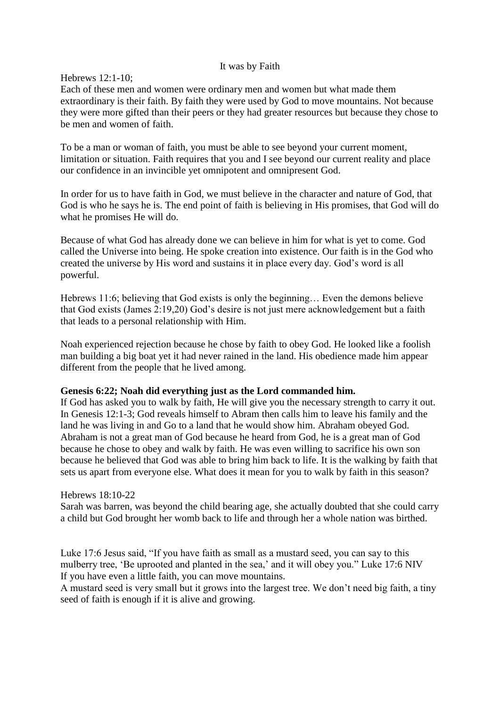### It was by Faith

## Hebrews 12:1-10;

Each of these men and women were ordinary men and women but what made them extraordinary is their faith. By faith they were used by God to move mountains. Not because they were more gifted than their peers or they had greater resources but because they chose to be men and women of faith.

To be a man or woman of faith, you must be able to see beyond your current moment, limitation or situation. Faith requires that you and I see beyond our current reality and place our confidence in an invincible yet omnipotent and omnipresent God.

In order for us to have faith in God, we must believe in the character and nature of God, that God is who he says he is. The end point of faith is believing in His promises, that God will do what he promises He will do.

Because of what God has already done we can believe in him for what is yet to come. God called the Universe into being. He spoke creation into existence. Our faith is in the God who created the universe by His word and sustains it in place every day. God's word is all powerful.

Hebrews 11:6; believing that God exists is only the beginning… Even the demons believe that God exists (James 2:19,20) God's desire is not just mere acknowledgement but a faith that leads to a personal relationship with Him.

Noah experienced rejection because he chose by faith to obey God. He looked like a foolish man building a big boat yet it had never rained in the land. His obedience made him appear different from the people that he lived among.

## **Genesis 6:22; Noah did everything just as the Lord commanded him.**

If God has asked you to walk by faith, He will give you the necessary strength to carry it out. In Genesis 12:1-3; God reveals himself to Abram then calls him to leave his family and the land he was living in and Go to a land that he would show him. Abraham obeyed God. Abraham is not a great man of God because he heard from God, he is a great man of God because he chose to obey and walk by faith. He was even willing to sacrifice his own son because he believed that God was able to bring him back to life. It is the walking by faith that sets us apart from everyone else. What does it mean for you to walk by faith in this season?

## Hebrews 18:10-22

Sarah was barren, was beyond the child bearing age, she actually doubted that she could carry a child but God brought her womb back to life and through her a whole nation was birthed.

Luke 17:6 Jesus said, "If you have faith as small as a mustard seed, you can say to this mulberry tree, 'Be uprooted and planted in the sea,' and it will obey you." Luke 17:6 NIV If you have even a little faith, you can move mountains.

A mustard seed is very small but it grows into the largest tree. We don't need big faith, a tiny seed of faith is enough if it is alive and growing.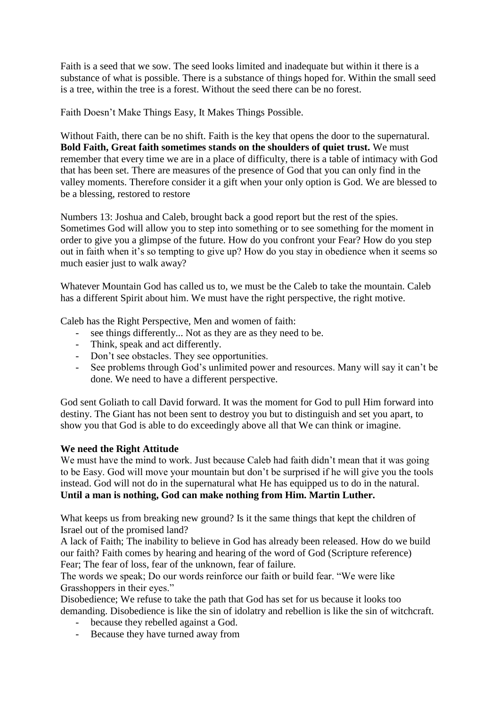Faith is a seed that we sow. The seed looks limited and inadequate but within it there is a substance of what is possible. There is a substance of things hoped for. Within the small seed is a tree, within the tree is a forest. Without the seed there can be no forest.

Faith Doesn't Make Things Easy, It Makes Things Possible.

Without Faith, there can be no shift. Faith is the key that opens the door to the supernatural. **Bold Faith, Great faith sometimes stands on the shoulders of quiet trust.** We must remember that every time we are in a place of difficulty, there is a table of intimacy with God that has been set. There are measures of the presence of God that you can only find in the valley moments. Therefore consider it a gift when your only option is God. We are blessed to be a blessing, restored to restore

Numbers 13: Joshua and Caleb, brought back a good report but the rest of the spies. Sometimes God will allow you to step into something or to see something for the moment in order to give you a glimpse of the future. How do you confront your Fear? How do you step out in faith when it's so tempting to give up? How do you stay in obedience when it seems so much easier just to walk away?

Whatever Mountain God has called us to, we must be the Caleb to take the mountain. Caleb has a different Spirit about him. We must have the right perspective, the right motive.

Caleb has the Right Perspective, Men and women of faith:

- see things differently... Not as they are as they need to be.
- Think, speak and act differently.
- Don't see obstacles. They see opportunities.
- See problems through God's unlimited power and resources. Many will say it can't be done. We need to have a different perspective.

God sent Goliath to call David forward. It was the moment for God to pull Him forward into destiny. The Giant has not been sent to destroy you but to distinguish and set you apart, to show you that God is able to do exceedingly above all that We can think or imagine.

# **We need the Right Attitude**

We must have the mind to work. Just because Caleb had faith didn't mean that it was going to be Easy. God will move your mountain but don't be surprised if he will give you the tools instead. God will not do in the supernatural what He has equipped us to do in the natural. **Until a man is nothing, God can make nothing from Him. Martin Luther.**

What keeps us from breaking new ground? Is it the same things that kept the children of Israel out of the promised land?

A lack of Faith; The inability to believe in God has already been released. How do we build our faith? Faith comes by hearing and hearing of the word of God (Scripture reference) Fear; The fear of loss, fear of the unknown, fear of failure.

The words we speak; Do our words reinforce our faith or build fear. "We were like Grasshoppers in their eyes."

Disobedience; We refuse to take the path that God has set for us because it looks too demanding. Disobedience is like the sin of idolatry and rebellion is like the sin of witchcraft.

- because they rebelled against a God.
- Because they have turned away from